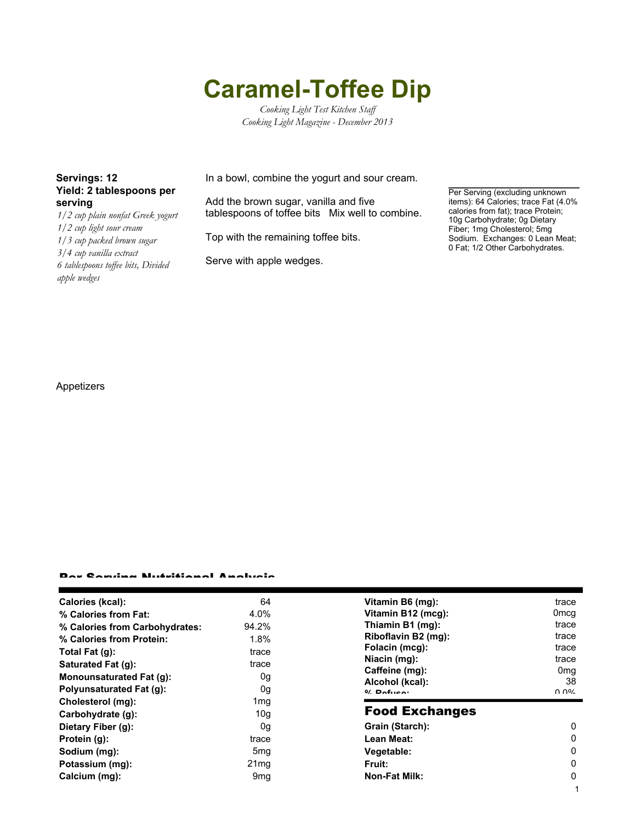# **Caramel-Toffee Dip**

*Cooking Light Test Kitchen Staff Cooking Light Magazine - December 2013*

## **Yield: 2 tablespoons per serving**

*1/2 cup plain nonfat Greek yogurt 1/2 cup light sour cream 1/3 cup packed brown sugar 3/4 cup vanilla extract 6 tablespoons toffee bits, Divided apple wedges*

**Servings: 12** In a bowl, combine the yogurt and sour cream.

Add the brown sugar, vanilla and five tablespoons of toffee bits Mix well to combine.

Top with the remaining toffee bits.

Serve with apple wedges.

Per Serving (excluding unknown items): 64 Calories; trace Fat (4.0% calories from fat); trace Protein; 10g Carbohydrate; 0g Dietary Fiber; 1mg Cholesterol; 5mg Sodium. Exchanges: 0 Lean Meat; 0 Fat; 1/2 Other Carbohydrates.

1

### Appetizers

#### Per Serving Nutritional Analysis

| Calories (kcal):                | 64               | Vitamin B6 (mg):                  | trace            |
|---------------------------------|------------------|-----------------------------------|------------------|
| % Calories from Fat:            | 4.0%             | Vitamin B12 (mcg):                | 0 <sub>mcg</sub> |
| % Calories from Carbohydrates:  | 94.2%            | Thiamin B1 (mg):                  | trace            |
| % Calories from Protein:        | 1.8%             | Riboflavin B2 (mg):               | trace            |
| Total Fat $(q)$ :               | trace            | Folacin (mcg):                    | trace            |
| Saturated Fat (g):              | trace            | Niacin (mg):                      | trace            |
| <b>Monounsaturated Fat (g):</b> | 0g               | Caffeine (mg):                    | 0 <sub>mg</sub>  |
| <b>Polyunsaturated Fat (g):</b> | 0g               | Alcohol (kcal):<br>$0/2$ Pofileo: | 38<br>በ በ%       |
| Cholesterol (mg):               | 1 <sub>mg</sub>  |                                   |                  |
| Carbohydrate (g):               | 10 <sub>q</sub>  | <b>Food Exchanges</b>             |                  |
| Dietary Fiber (g):              | 0g               | Grain (Starch):                   | 0                |
| Protein (g):                    | trace            | Lean Meat:                        | 0                |
| Sodium (mg):                    | 5 <sub>mg</sub>  | Vegetable:                        | 0                |
| Potassium (mg):                 | 21 <sub>mq</sub> | Fruit:                            | 0                |
| Calcium (mg):                   | 9 <sub>mq</sub>  | <b>Non-Fat Milk:</b>              | 0                |
|                                 |                  |                                   |                  |